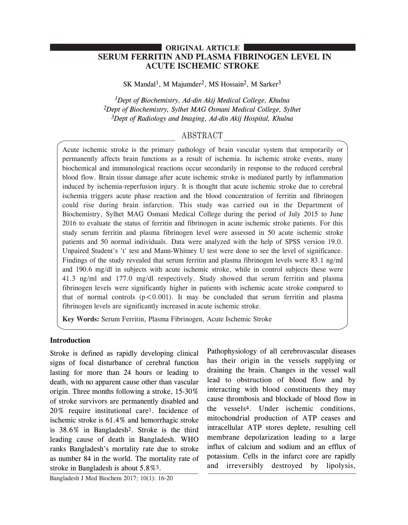# **SERUM FERRITIN AND PLASMA FIBRINOGEN LEVEL IN ACUTE ISCHEMIC STROKE ORIGINAL ARTICLE**

SK Mandal<sup>1</sup>, M Majumder<sup>2</sup>, MS Hossain<sup>2</sup>, M Sarker<sup>3</sup>

*1Dept of Biochemistry, Ad-din Akij Medical College, Khulna 2Dept of Biochemistry, Sylhet MAG Osmani Medical College, Sylhet 3Dept of Radiology and Imaging, Ad-din Akij Hospital, Khulna*

# ABSTRACT

Acute ischemic stroke is the primary pathology of brain vascular system that temporarily or permanently affects brain functions as a result of ischemia. In ischemic stroke events, many biochemical and immunological reactions occur secondarily in response to the reduced cerebral blood flow. Brain tissue damage after acute ischemic stroke is mediated partly by inflammation induced by ischemia-reperfusion injury. It is thought that acute ischemic stroke due to cerebral ischemia triggers acute phase reaction and the blood concentration of ferritin and fibrinogen could rise during brain infarction. This study was carried out in the Department of Biochemistry, Sylhet MAG Osmani Medical College during the period of July 2015 to June 2016 to evaluate the status of ferritin and fibrinogen in acute ischemic stroke patients. For this study serum ferritin and plasma fibrinogen level were assessed in 50 acute ischemic stroke patients and 50 normal individuals. Data were analyzed with the help of SPSS version 19.0. Unpaired Student's 't' test and Mann-Whitney U test were done to see the level of significance. Findings of the study revealed that serum ferritin and plasma fibrinogen levels were 83.1 ng/ml and 190.6 mg/dl in subjects with acute ischemic stroke, while in control subjects these were 41.3 ng/ml and 177.0 mg/dl respectively. Study showed that serum ferritin and plasma fibrinogen levels were significantly higher in patients with ischemic acute stroke compared to that of normal controls  $(p<0.001)$ . It may be concluded that serum ferritin and plasma fibrinogen levels are significantly increased in acute ischemic stroke.

**Key Words:** Serum Ferritin, Plasma Fibrinogen, Acute Ischemic Stroke

## **Introduction**

Stroke is defined as rapidly developing clinical signs of focal disturbance of cerebral function lasting for more than 24 hours or leading to death, with no apparent cause other than vascular origin. Three months following a stroke, 15-30% of stroke survivors are permanently disabled and 20% require institutional care1. Incidence of ischemic stroke is 61.4% and hemorrhagic stroke is 38.6% in Bangladesh2. Stroke is the third leading cause of death in Bangladesh. WHO ranks Bangladesh's mortality rate due to stroke as number 84 in the world. The mortality rate of stroke in Bangladesh is about 5.8%3.

has their origin in the vessels supplying or draining the brain. Changes in the vessel wall lead to obstruction of blood flow and by interacting with blood constituents they may cause thrombosis and blockade of blood flow in the vessels4. Under ischemic conditions, mitochondrial production of ATP ceases and intracellular ATP stores deplete, resulting cell membrane depolarization leading to a large influx of calcium and sodium and an efflux of potassium. Cells in the infarct core are rapidly and irreversibly destroyed by lipolysis,

Pathophysiology of all cerebrovascular diseases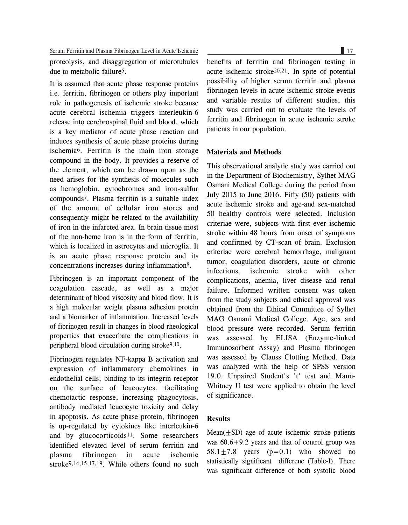Serum Ferritin and Plasma Fibrinogen Level in Acute Ischemic 17

proteolysis, and disaggregation of microtubules due to metabolic failure5.

It is assumed that acute phase response proteins i.e. ferritin, fibrinogen or others play important role in pathogenesis of ischemic stroke because acute cerebral ischemia triggers interleukin-6 release into cerebrospinal fluid and blood, which is a key mediator of acute phase reaction and induces synthesis of acute phase proteins during ischemia6. Ferritin is the main iron storage compound in the body. It provides a reserve of the element, which can be drawn upon as the need arises for the synthesis of molecules such as hemoglobin, cytochromes and iron-sulfur compounds7. Plasma ferritin is a suitable index of the amount of cellular iron stores and consequently might be related to the availability of iron in the infarcted area. In brain tissue most of the non-heme iron is in the form of ferritin, which is localized in astrocytes and microglia. It is an acute phase response protein and its concentrations increases during inflammation8.

Fibrinogen is an important component of the coagulation cascade, as well as a major determinant of blood viscosity and blood flow. It is a high molecular weight plasma adhesion protein and a biomarker of inflammation. Increased levels of fibrinogen result in changes in blood rheological properties that exacerbate the complications in peripheral blood circulation during stroke9,10.

Fibrinogen regulates NF-kappa B activation and expression of inflammatory chemokines in endothelial cells, binding to its integrin receptor on the surface of leucocytes, facilitating chemotactic response, increasing phagocytosis, antibody mediated leucocyte toxicity and delay in apoptosis. As acute phase protein, fibrinogen is up-regulated by cytokines like interleukin-6 and by glucocorticoids<sup>11</sup>. Some researchers identified elevated level of serum ferritin and plasma fibrinogen in acute ischemic stroke9,14,15,17,19. While others found no such

benefits of ferritin and fibrinogen testing in acute ischemic stroke20,21. In spite of potential possibility of higher serum ferritin and plasma fibrinogen levels in acute ischemic stroke events and variable results of different studies, this study was carried out to evaluate the levels of ferritin and fibrinogen in acute ischemic stroke patients in our population.

### **Materials and Methods**

This observational analytic study was carried out in the Department of Biochemistry, Sylhet MAG Osmani Medical College during the period from July 2015 to June 2016. Fifty (50) patients with acute ischemic stroke and age-and sex-matched 50 healthy controls were selected. Inclusion criteriae were, subjects with first ever ischemic stroke within 48 hours from onset of symptoms and confirmed by CT-scan of brain. Exclusion criteriae were cerebral hemorrhage, malignant tumor, coagulation disorders, acute or chronic infections, ischemic stroke with other complications, anemia, liver disease and renal failure. Informed written consent was taken from the study subjects and ethical approval was obtained from the Ethical Committee of Sylhet MAG Osmani Medical College. Age, sex and blood pressure were recorded. Serum ferritin was assessed by ELISA (Enzyme-linked Immunosorbent Assay) and Plasma fibrinogen was assessed by Clauss Clotting Method. Data was analyzed with the help of SPSS version 19.0. Unpaired Student's 't' test and Mann-Whitney U test were applied to obtain the level of significance.

### **Results**

 $Mean(+SD)$  age of acute ischemic stroke patients was  $60.6 \pm 9.2$  years and that of control group was 58.1 $\pm$ 7.8 years (p=0.1) who showed no statistically significant differene (Table-I). There was significant difference of both systolic blood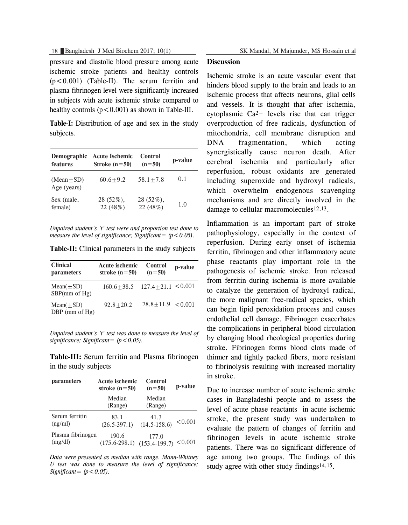pressure and diastolic blood pressure among acute ischemic stroke patients and healthy controls (p<0.001) (Table-II). The serum ferritin and plasma fibrinogen level were significantly increased in subjects with acute ischemic stroke compared to healthy controls  $(p < 0.001)$  as shown in Table-III.

**Table-I:** Distribution of age and sex in the study subjects.

| Demographic                  | <b>Acute Ischemic</b> | Control      | p-value |
|------------------------------|-----------------------|--------------|---------|
| features                     | Stroke $(n=50)$       | $(n=50)$     |         |
| $(Mean + SD)$<br>Age (years) | $60.6 + 9.2$          | $58.1 + 7.8$ | 0.1     |
| Sex (male,                   | 28 (52%),             | 28 (52%),    | 1.0     |
| female)                      | 22 (48%)              | 22 (48%)     |         |

*Unpaired student's 't' test were and proportion test done to measure the level of significance; Significant* =  $(p < 0.05)$ .

| <b>Clinical</b><br>parameters           | <b>Acute ischemic</b><br>stroke $(n=50)$ | Control<br>$(n=50)$   | p-value |
|-----------------------------------------|------------------------------------------|-----------------------|---------|
| Mean( $\pm SD$ )<br>SBP(mm of Hg)       | $160.6 + 38.5$ $127.4 + 21.1$ < 0.001    |                       |         |
| Mean( $\pm SD$ )<br>$DBP$ (mm of $Hg$ ) | $92.8 + 20.2$                            | $78.8 + 11.9 < 0.001$ |         |

*Unpaired student's 't' test was done to measure the level of significance; Significant= (p<0.05).*

**Table-III:** Serum ferritin and Plasma fibrinogen in the study subjects

| parameters        | Acute ischemic<br>stroke $(n=50)$ | Control<br>$(n=50)$ | p-value |
|-------------------|-----------------------------------|---------------------|---------|
|                   | Median<br>(Range)                 | Median<br>(Range)   |         |
| Serum ferritin    | 83.1                              | 41.3                | < 0.001 |
| (ng/ml)           | $(26.5 - 397.1)$                  | $(14.5 - 158.6)$    |         |
| Plasma fibrinogen | 190.6                             | 177.0               | < 0.001 |
| (mg/dl)           | $(175.6 - 298.1)$                 | $(153.4 - 199.7)$   |         |

*Data were presented as median with range. Mann-Whitney U test was done to measure the level of significance;*  $Significant = (p < 0.05)$ .

#### **Discussion**

Ischemic stroke is an acute vascular event that hinders blood supply to the brain and leads to an ischemic process that affects neurons, glial cells and vessels. It is thought that after ischemia, cytoplasmic  $Ca^{2+}$  levels rise that can trigger overproduction of free radicals, dysfunction of mitochondria, cell membrane disruption and DNA fragmentation, which acting synergistically cause neuron death. After cerebral ischemia and particularly after reperfusion, robust oxidants are generated including superoxide and hydroxyl radicals, which overwhelm endogenous scavenging mechanisms and are directly involved in the damage to cellular macromolecules<sup>12,13</sup>.

Inflammation is an important part of stroke pathophysiology, especially in the context of reperfusion. During early onset of ischemia ferritin, fibrinogen and other inflammatory acute phase reactants play important role in the pathogenesis of ischemic stroke. Iron released from ferritin during ischemia is more available to catalyze the generation of hydroxyl radical, the more malignant free-radical species, which can begin lipid peroxidation process and causes endothelial cell damage. Fibrinogen exacerbates the complications in peripheral blood circulation by changing blood rheological properties during stroke. Fibrinogen forms blood clots made of thinner and tightly packed fibers, more resistant to fibrinolysis resulting with increased mortality in stroke.

Due to increase number of acute ischemic stroke cases in Bangladeshi people and to assess the level of acute phase reactants in acute ischemic stroke, the present study was undertaken to evaluate the pattern of changes of ferritin and fibrinogen levels in acute ischemic stroke patients. There was no significant difference of age among two groups. The findings of this study agree with other study findings<sup>14,15</sup>.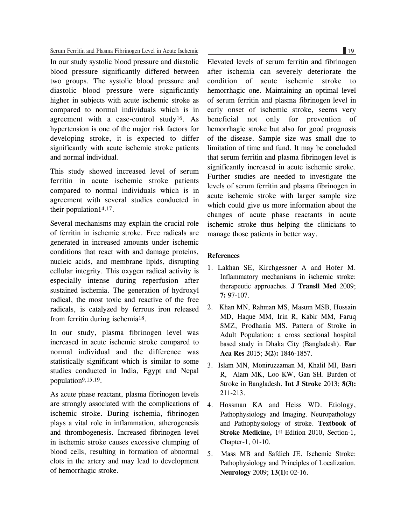#### Serum Ferritin and Plasma Fibrinogen Level in Acute Ischemic 19

In our study systolic blood pressure and diastolic blood pressure significantly differed between two groups. The systolic blood pressure and diastolic blood pressure were significantly higher in subjects with acute ischemic stroke as compared to normal individuals which is in agreement with a case-control study<sup>16</sup>. As hypertension is one of the major risk factors for developing stroke, it is expected to differ significantly with acute ischemic stroke patients and normal individual.

This study showed increased level of serum ferritin in acute ischemic stroke patients compared to normal individuals which is in agreement with several studies conducted in their population14,17.

Several mechanisms may explain the crucial role of ferritin in ischemic stroke. Free radicals are generated in increased amounts under ischemic conditions that react with and damage proteins, nucleic acids, and membrane lipids, disrupting cellular integrity. This oxygen radical activity is especially intense during reperfusion after sustained ischemia. The generation of hydroxyl radical, the most toxic and reactive of the free radicals, is catalyzed by ferrous iron released from ferritin during ischemia18.

In our study, plasma fibrinogen level was increased in acute ischemic stroke compared to normal individual and the difference was statistically significant which is similar to some studies conducted in India, Egypt and Nepal population9,15,19.

As acute phase reactant, plasma fibrinogen levels are strongly associated with the complications of ischemic stroke. During ischemia, fibrinogen plays a vital role in inflammation, atherogenesis and thrombogenesis. Increased fibrinogen level in ischemic stroke causes excessive clumping of blood cells, resulting in formation of abnormal clots in the artery and may lead to development of hemorrhagic stroke.

Elevated levels of serum ferritin and fibrinogen after ischemia can severely deteriorate the condition of acute ischemic stroke to hemorrhagic one. Maintaining an optimal level of serum ferritin and plasma fibrinogen level in early onset of ischemic stroke, seems very beneficial not only for prevention of hemorrhagic stroke but also for good prognosis of the disease. Sample size was small due to limitation of time and fund. It may be concluded that serum ferritin and plasma fibrinogen level is significantly increased in acute ischemic stroke. Further studies are needed to investigate the levels of serum ferritin and plasma fibrinogen in acute ischemic stroke with larger sample size which could give us more information about the changes of acute phase reactants in acute ischemic stroke thus helping the clinicians to manage those patients in better way.

#### **References**

- 1. Lakhan SE, Kirchgessner A and Hofer M. Inflammatory mechanisms in ischemic stroke: therapeutic approaches. **J Transll Med** 2009; **7:** 97-107.
- 2. Khan MN, Rahman MS, Masum MSB, Hossain MD, Haque MM, Irin R, Kabir MM, Faruq SMZ, Prodhania MS. Pattern of Stroke in Adult Population: a cross sectional hospital based study in Dhaka City (Bangladesh). **Eur Aca Res** 2015; **3(2):** 1846-1857.
- 3. Islam MN, Moniruzzaman M, Khalil MI, Basri R, Alam MK, Loo KW, Gan SH. Burden of Stroke in Bangladesh. **Int J Stroke** 2013; **8(3):** 211-213.
- 4. Hossman KA and Heiss WD. Etiology, Pathophysiology and Imaging. Neuropathology and Pathophysiology of stroke. **Textbook of Stroke Medicine,** 1st Edition 2010, Section-1, Chapter-1, 01-10.
- 5. Mass MB and Safdieh JE. Ischemic Stroke: Pathophysiology and Principles of Localization. **Neurology** 2009; **13(1):** 02-16.